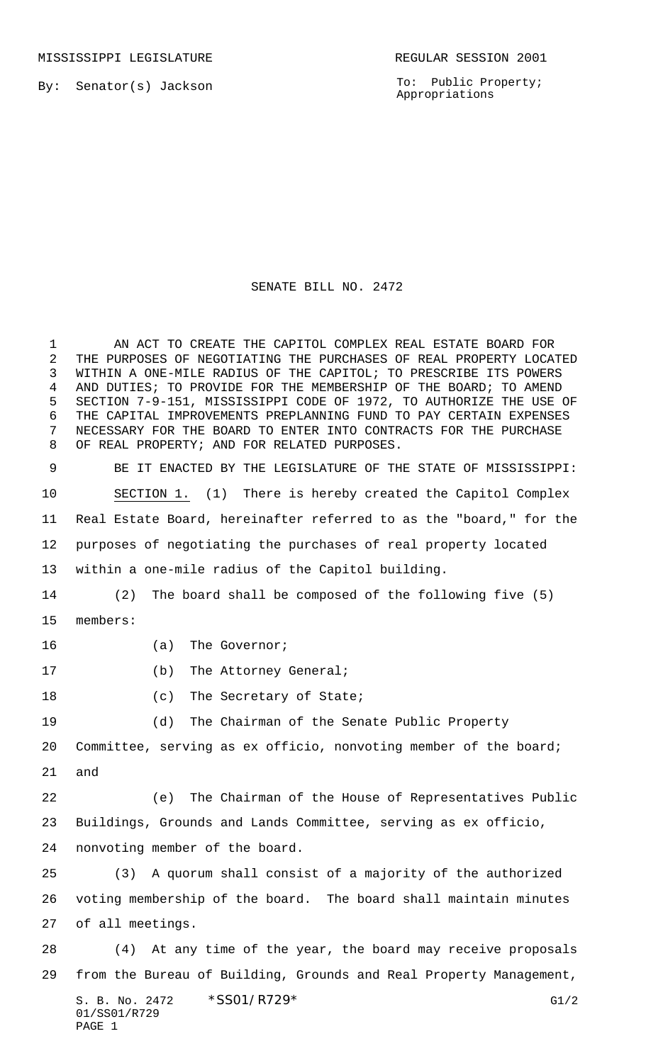MISSISSIPPI LEGISLATURE **REGULAR SESSION 2001** 

By: Senator(s) Jackson

To: Public Property; Appropriations

## SENATE BILL NO. 2472

 AN ACT TO CREATE THE CAPITOL COMPLEX REAL ESTATE BOARD FOR THE PURPOSES OF NEGOTIATING THE PURCHASES OF REAL PROPERTY LOCATED WITHIN A ONE-MILE RADIUS OF THE CAPITOL; TO PRESCRIBE ITS POWERS AND DUTIES; TO PROVIDE FOR THE MEMBERSHIP OF THE BOARD; TO AMEND SECTION 7-9-151, MISSISSIPPI CODE OF 1972, TO AUTHORIZE THE USE OF THE CAPITAL IMPROVEMENTS PREPLANNING FUND TO PAY CERTAIN EXPENSES NECESSARY FOR THE BOARD TO ENTER INTO CONTRACTS FOR THE PURCHASE OF REAL PROPERTY; AND FOR RELATED PURPOSES.

 BE IT ENACTED BY THE LEGISLATURE OF THE STATE OF MISSISSIPPI: SECTION 1. (1) There is hereby created the Capitol Complex Real Estate Board, hereinafter referred to as the "board," for the purposes of negotiating the purchases of real property located within a one-mile radius of the Capitol building. (2) The board shall be composed of the following five (5) members: 16 (a) The Governor;

- 
- 17 (b) The Attorney General;
- 18 (c) The Secretary of State;

(d) The Chairman of the Senate Public Property

 Committee, serving as ex officio, nonvoting member of the board; and

 (e) The Chairman of the House of Representatives Public Buildings, Grounds and Lands Committee, serving as ex officio, nonvoting member of the board.

 (3) A quorum shall consist of a majority of the authorized voting membership of the board. The board shall maintain minutes of all meetings.

S. B. No. 2472 \* SS01/R729\* G1/2 (4) At any time of the year, the board may receive proposals from the Bureau of Building, Grounds and Real Property Management,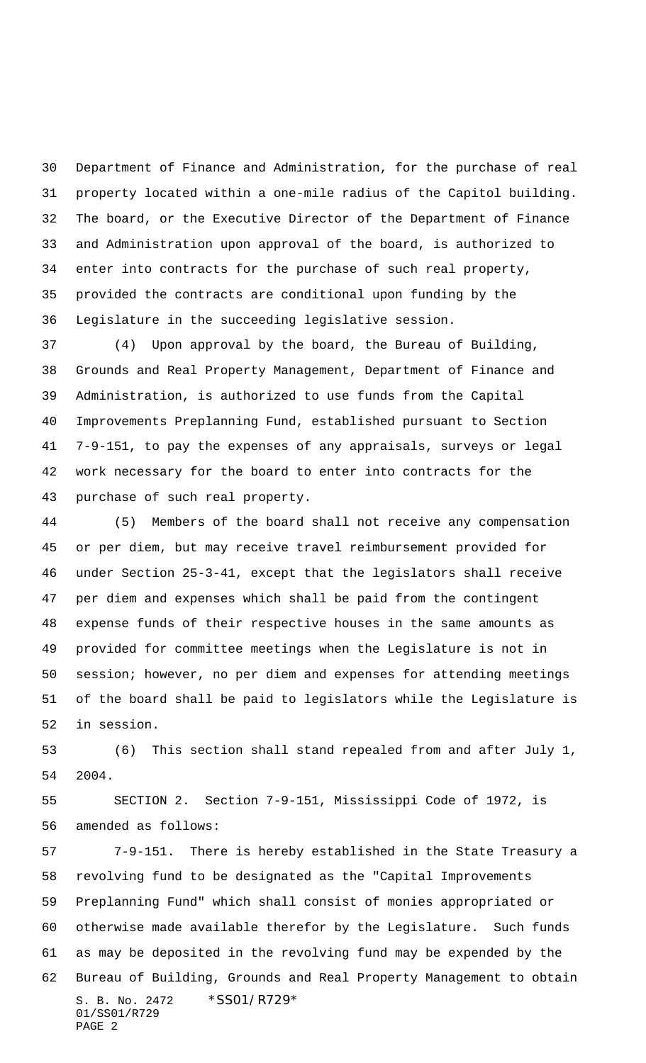Department of Finance and Administration, for the purchase of real property located within a one-mile radius of the Capitol building. The board, or the Executive Director of the Department of Finance and Administration upon approval of the board, is authorized to enter into contracts for the purchase of such real property, provided the contracts are conditional upon funding by the Legislature in the succeeding legislative session.

 (4) Upon approval by the board, the Bureau of Building, Grounds and Real Property Management, Department of Finance and Administration, is authorized to use funds from the Capital Improvements Preplanning Fund, established pursuant to Section 7-9-151, to pay the expenses of any appraisals, surveys or legal work necessary for the board to enter into contracts for the purchase of such real property.

 (5) Members of the board shall not receive any compensation or per diem, but may receive travel reimbursement provided for under Section 25-3-41, except that the legislators shall receive per diem and expenses which shall be paid from the contingent expense funds of their respective houses in the same amounts as provided for committee meetings when the Legislature is not in session; however, no per diem and expenses for attending meetings of the board shall be paid to legislators while the Legislature is in session.

 (6) This section shall stand repealed from and after July 1, 2004.

 SECTION 2. Section 7-9-151, Mississippi Code of 1972, is amended as follows:

S. B. No. 2472 \* SS01/R729\* 01/SS01/R729 PAGE 2 7-9-151. There is hereby established in the State Treasury a revolving fund to be designated as the "Capital Improvements Preplanning Fund" which shall consist of monies appropriated or otherwise made available therefor by the Legislature. Such funds as may be deposited in the revolving fund may be expended by the Bureau of Building, Grounds and Real Property Management to obtain